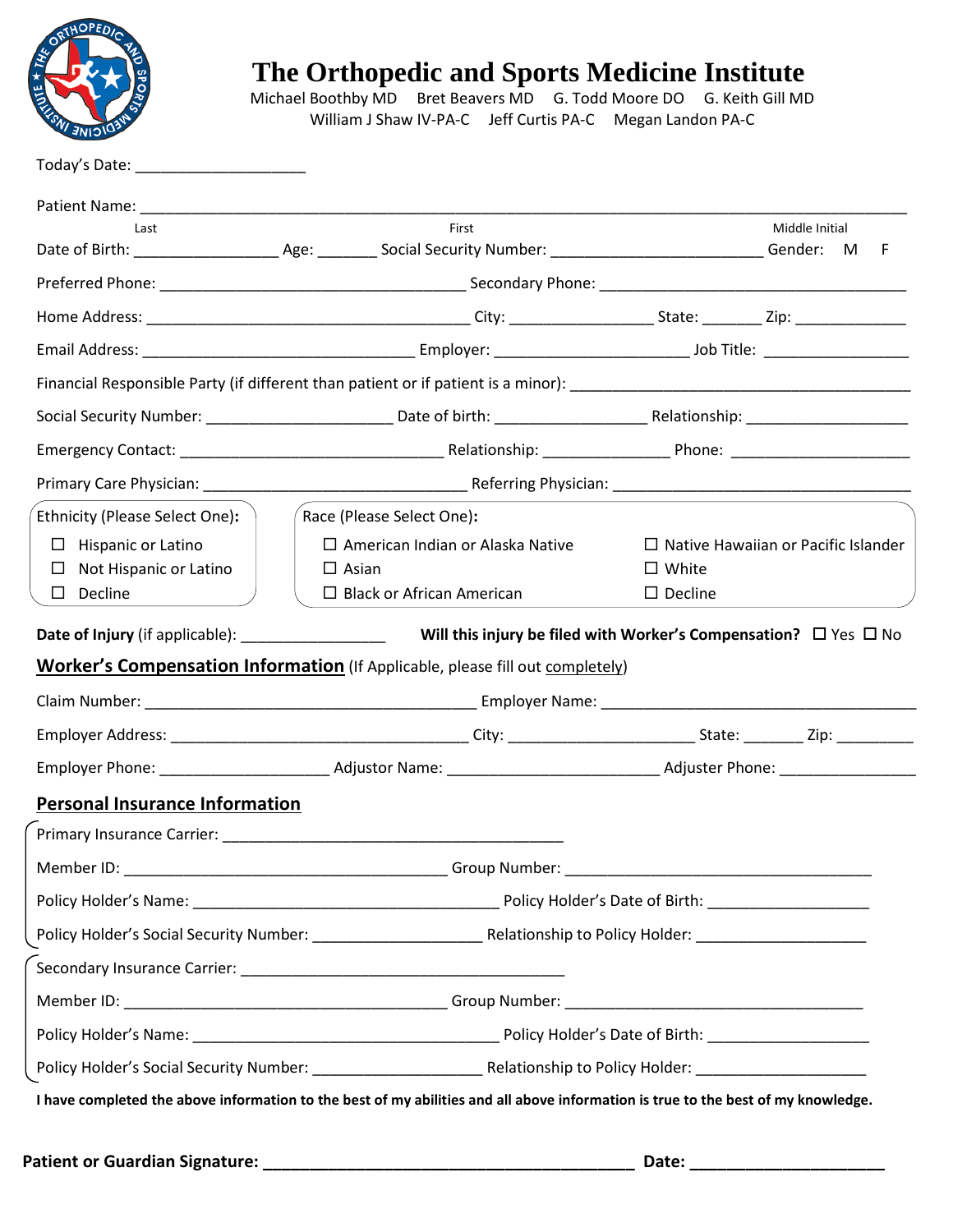

 Michael Boothby MD Bret Beavers MD G. Todd Moore DO G. Keith Gill MD William J Shaw IV-PA-C Jeff Curtis PA-C Megan Landon PA-C

| Last                                                                                                                                                                                                                           | First                                                                                                                             | Middle Initial<br>F                                                          |  |  |  |  |  |  |  |  |
|--------------------------------------------------------------------------------------------------------------------------------------------------------------------------------------------------------------------------------|-----------------------------------------------------------------------------------------------------------------------------------|------------------------------------------------------------------------------|--|--|--|--|--|--|--|--|
|                                                                                                                                                                                                                                |                                                                                                                                   |                                                                              |  |  |  |  |  |  |  |  |
|                                                                                                                                                                                                                                |                                                                                                                                   |                                                                              |  |  |  |  |  |  |  |  |
|                                                                                                                                                                                                                                |                                                                                                                                   |                                                                              |  |  |  |  |  |  |  |  |
|                                                                                                                                                                                                                                |                                                                                                                                   |                                                                              |  |  |  |  |  |  |  |  |
|                                                                                                                                                                                                                                |                                                                                                                                   |                                                                              |  |  |  |  |  |  |  |  |
|                                                                                                                                                                                                                                |                                                                                                                                   |                                                                              |  |  |  |  |  |  |  |  |
|                                                                                                                                                                                                                                |                                                                                                                                   |                                                                              |  |  |  |  |  |  |  |  |
| Ethnicity (Please Select One):                                                                                                                                                                                                 | Race (Please Select One):                                                                                                         |                                                                              |  |  |  |  |  |  |  |  |
| Hispanic or Latino<br>$\Box$<br>Not Hispanic or Latino<br>⊔<br>$\square$ Decline                                                                                                                                               | $\Box$ American Indian or Alaska Native<br>$\Box$ Asian<br>$\Box$ Black or African American                                       | $\Box$ Native Hawaiian or Pacific Islander<br>$\Box$ White<br>$\Box$ Decline |  |  |  |  |  |  |  |  |
|                                                                                                                                                                                                                                |                                                                                                                                   |                                                                              |  |  |  |  |  |  |  |  |
|                                                                                                                                                                                                                                | Worker's Compensation Information (If Applicable, please fill out completely)                                                     |                                                                              |  |  |  |  |  |  |  |  |
|                                                                                                                                                                                                                                |                                                                                                                                   |                                                                              |  |  |  |  |  |  |  |  |
|                                                                                                                                                                                                                                |                                                                                                                                   |                                                                              |  |  |  |  |  |  |  |  |
|                                                                                                                                                                                                                                |                                                                                                                                   |                                                                              |  |  |  |  |  |  |  |  |
| <b>Personal Insurance Information</b>                                                                                                                                                                                          |                                                                                                                                   |                                                                              |  |  |  |  |  |  |  |  |
| Primary Insurance Carrier: New York Contract of the Carrier State of the Contract of the Carrier of the Contract of the Contract of the Contract of the Contract of the Contract of the Contract of the Contract of the Contra |                                                                                                                                   |                                                                              |  |  |  |  |  |  |  |  |
|                                                                                                                                                                                                                                |                                                                                                                                   |                                                                              |  |  |  |  |  |  |  |  |
|                                                                                                                                                                                                                                |                                                                                                                                   |                                                                              |  |  |  |  |  |  |  |  |
|                                                                                                                                                                                                                                |                                                                                                                                   |                                                                              |  |  |  |  |  |  |  |  |
|                                                                                                                                                                                                                                |                                                                                                                                   |                                                                              |  |  |  |  |  |  |  |  |
|                                                                                                                                                                                                                                |                                                                                                                                   |                                                                              |  |  |  |  |  |  |  |  |
|                                                                                                                                                                                                                                |                                                                                                                                   |                                                                              |  |  |  |  |  |  |  |  |
|                                                                                                                                                                                                                                |                                                                                                                                   |                                                                              |  |  |  |  |  |  |  |  |
|                                                                                                                                                                                                                                | I have completed the above information to the best of my abilities and all above information is true to the best of my knowledge. |                                                                              |  |  |  |  |  |  |  |  |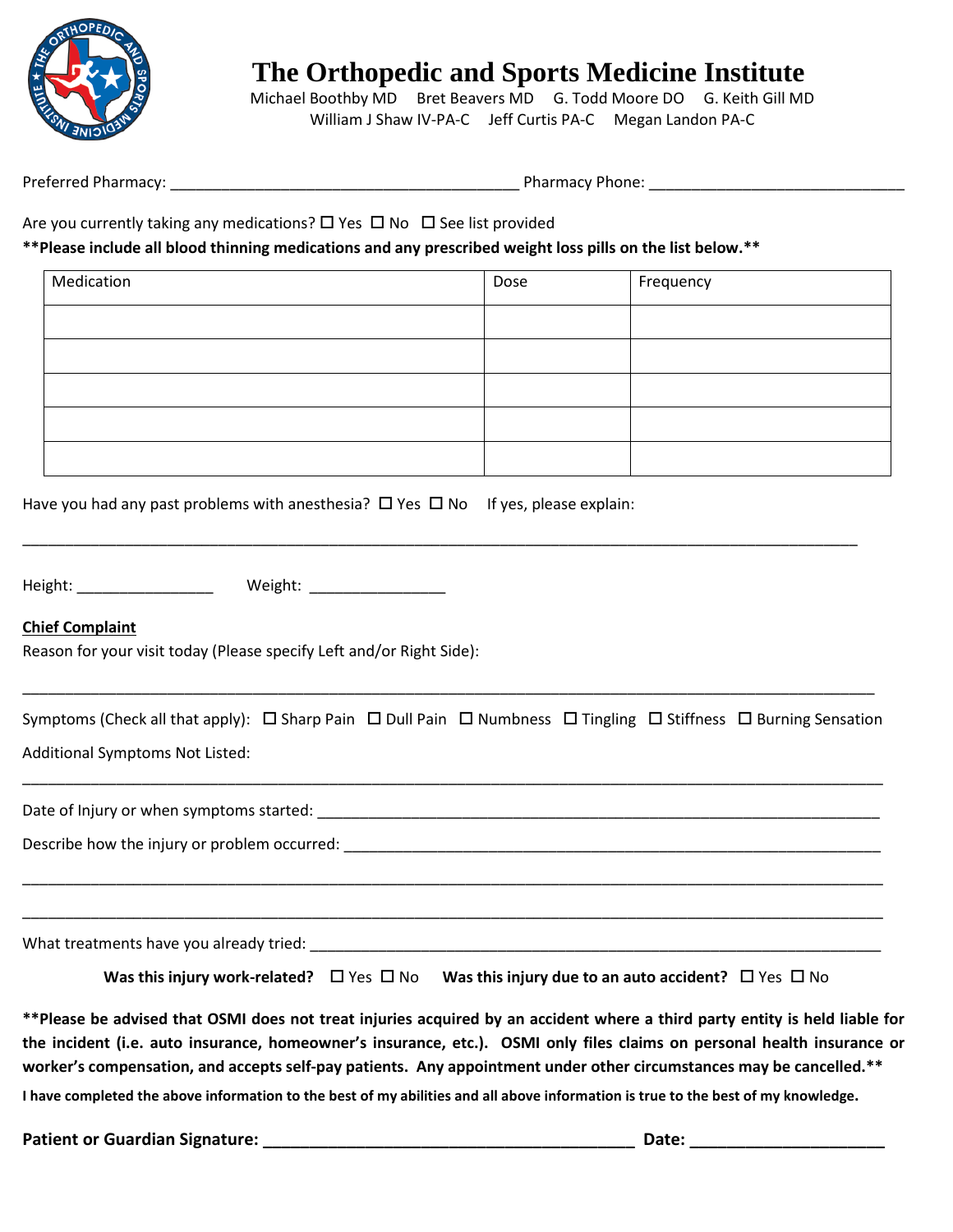

Michael Boothby MD Bret Beavers MD G. Todd Moore DO G. Keith Gill MD William J Shaw IV-PA-C Jeff Curtis PA-C Megan Landon PA-C

Preferred Pharmacy: \_\_\_\_\_\_\_\_\_\_\_\_\_\_\_\_\_\_\_\_\_\_\_\_\_\_\_\_\_\_\_\_\_\_\_\_\_\_\_\_\_ Pharmacy Phone: \_\_\_\_\_\_\_\_\_\_\_\_\_\_\_\_\_\_\_\_\_\_\_\_\_\_\_\_\_\_

\_\_\_\_\_\_\_\_\_\_\_\_\_\_\_\_\_\_\_\_\_\_\_\_\_\_\_\_\_\_\_\_\_\_\_\_\_\_\_\_\_\_\_\_\_\_\_\_\_\_\_\_\_\_\_\_\_\_\_\_\_\_\_\_\_\_\_\_\_\_\_\_\_\_\_\_\_\_\_\_\_\_\_\_\_\_\_\_\_\_\_\_\_\_\_\_\_\_\_\_\_

Are you currently taking any medications?  $\Box$  Yes  $\Box$  No  $\Box$  See list provided

**\*\*Please include all blood thinning medications and any prescribed weight loss pills on the list below.\*\***

| Medication | Dose | Frequency |
|------------|------|-----------|
|            |      |           |
|            |      |           |
|            |      |           |
|            |      |           |
|            |      |           |

Have you had any past problems with anesthesia?  $\Box$  Yes  $\Box$  No If yes, please explain:

Height: \_\_\_\_\_\_\_\_\_\_\_\_\_\_\_\_ Weight: \_\_\_\_\_\_\_\_\_\_\_\_\_\_\_\_

## **Chief Complaint**

Reason for your visit today (Please specify Left and/or Right Side):

| Symptoms (Check all that apply): $\Box$ Sharp Pain $\Box$ Dull Pain $\Box$ Numbness $\Box$ Tingling $\Box$ Stiffness $\Box$ Burning Sensation |  |  |  |
|-----------------------------------------------------------------------------------------------------------------------------------------------|--|--|--|
| <b>Additional Symptoms Not Listed:</b>                                                                                                        |  |  |  |

\_\_\_\_\_\_\_\_\_\_\_\_\_\_\_\_\_\_\_\_\_\_\_\_\_\_\_\_\_\_\_\_\_\_\_\_\_\_\_\_\_\_\_\_\_\_\_\_\_\_\_\_\_\_\_\_\_\_\_\_\_\_\_\_\_\_\_\_\_\_\_\_\_\_\_\_\_\_\_\_\_\_\_\_\_\_\_\_\_\_\_\_\_\_\_\_\_\_\_\_\_

\_\_\_\_\_\_\_\_\_\_\_\_\_\_\_\_\_\_\_\_\_\_\_\_\_\_\_\_\_\_\_\_\_\_\_\_\_\_\_\_\_\_\_\_\_\_\_\_\_\_\_\_\_\_\_\_\_\_\_\_\_\_\_\_\_\_\_\_\_\_\_\_\_\_\_\_\_\_\_\_\_\_\_\_\_\_\_\_\_\_\_\_\_\_\_\_\_\_\_\_\_

\_\_\_\_\_\_\_\_\_\_\_\_\_\_\_\_\_\_\_\_\_\_\_\_\_\_\_\_\_\_\_\_\_\_\_\_\_\_\_\_\_\_\_\_\_\_\_\_\_\_\_\_\_\_\_\_\_\_\_\_\_\_\_\_\_\_\_\_\_\_\_\_\_\_\_\_\_\_\_\_\_\_\_\_\_\_\_\_\_\_\_\_\_\_\_\_\_\_\_\_

\_\_\_\_\_\_\_\_\_\_\_\_\_\_\_\_\_\_\_\_\_\_\_\_\_\_\_\_\_\_\_\_\_\_\_\_\_\_\_\_\_\_\_\_\_\_\_\_\_\_\_\_\_\_\_\_\_\_\_\_\_\_\_\_\_\_\_\_\_\_\_\_\_\_\_\_\_\_\_\_\_\_\_\_\_\_\_\_\_\_\_\_\_\_\_\_\_\_

Date of Injury or when symptoms started: \_\_\_\_\_\_\_\_\_\_\_\_\_\_\_\_\_\_\_\_\_\_\_\_\_\_\_\_\_\_\_\_\_\_\_\_\_\_\_\_\_\_\_\_\_\_\_\_\_\_\_\_\_\_\_\_\_\_\_\_\_\_\_\_\_\_

Describe how the injury or problem occurred: \_\_\_\_\_\_\_\_\_\_\_\_\_\_\_\_\_\_\_\_\_\_\_\_\_\_\_\_\_\_\_\_\_\_\_

What treatments have you already tried: \_\_\_\_\_\_\_\_\_\_\_\_\_\_\_\_\_\_\_\_\_\_\_\_\_\_\_\_\_\_\_\_\_\_\_\_\_\_\_\_\_\_\_\_\_\_\_\_\_\_\_\_\_\_\_\_\_\_\_\_\_\_\_\_\_\_\_

**Was this injury work-related?**  $\Box$  Yes  $\Box$  No **Was this injury due to an auto accident?**  $\Box$  Yes  $\Box$  No

**\*\*Please be advised that OSMI does not treat injuries acquired by an accident where a third party entity is held liable for the incident (i.e. auto insurance, homeowner's insurance, etc.). OSMI only files claims on personal health insurance or worker's compensation, and accepts self-pay patients. Any appointment under other circumstances may be cancelled.\*\***

**I have completed the above information to the best of my abilities and all above information is true to the best of my knowledge.**

**Patient or Guardian Signature: \_\_\_\_\_\_\_\_\_\_\_\_\_\_\_\_\_\_\_\_\_\_\_\_\_\_\_\_\_\_\_\_\_\_\_\_\_\_\_\_ Date: \_\_\_\_\_\_\_\_\_\_\_\_\_\_\_\_\_\_\_\_\_**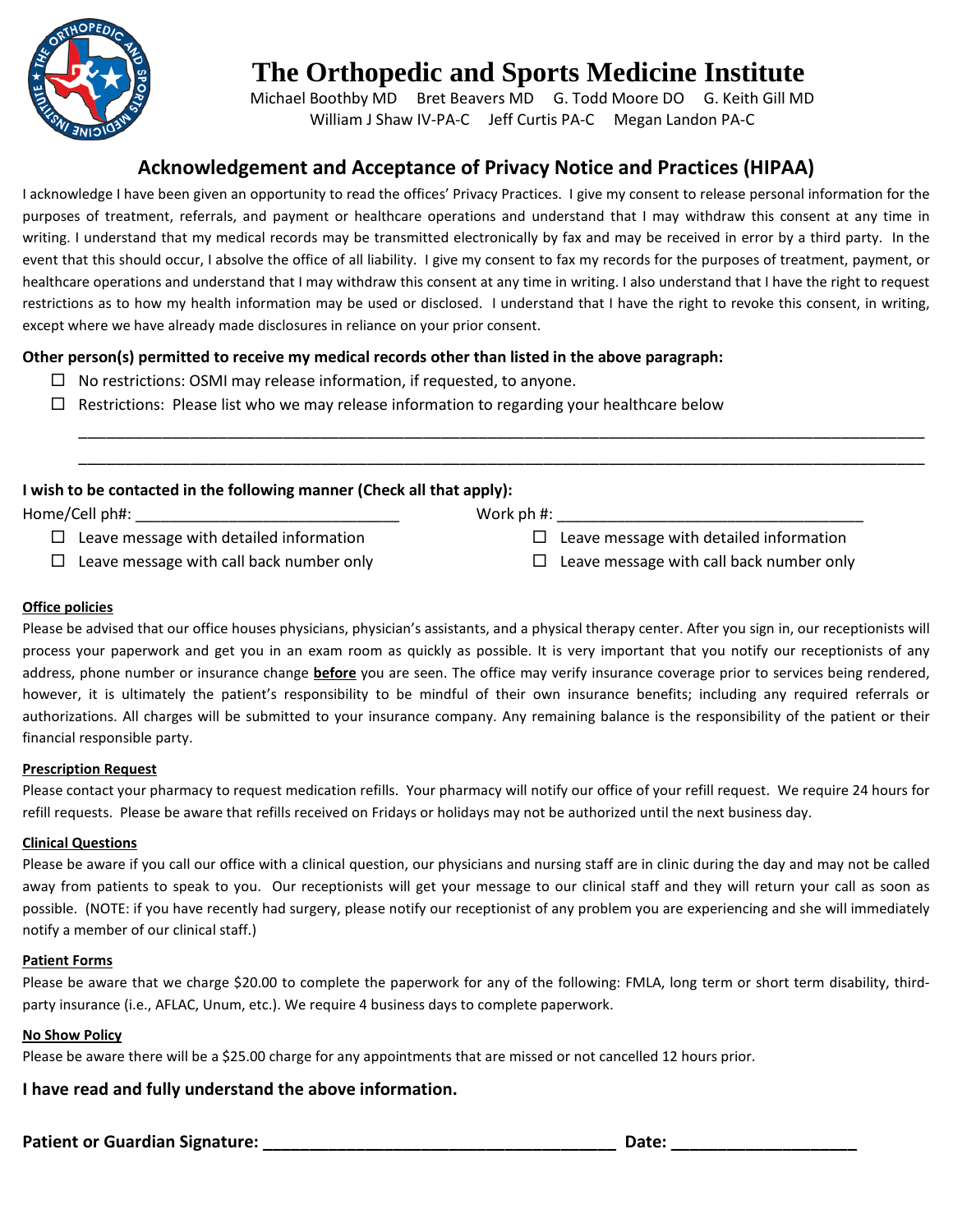

Michael Boothby MD Bret Beavers MD G. Todd Moore DO G. Keith Gill MD William J Shaw IV-PA-C Jeff Curtis PA-C Megan Landon PA-C

# **Acknowledgement and Acceptance of Privacy Notice and Practices (HIPAA)**

I acknowledge I have been given an opportunity to read the offices' Privacy Practices. I give my consent to release personal information for the purposes of treatment, referrals, and payment or healthcare operations and understand that I may withdraw this consent at any time in writing. I understand that my medical records may be transmitted electronically by fax and may be received in error by a third party. In the event that this should occur, I absolve the office of all liability. I give my consent to fax my records for the purposes of treatment, payment, or healthcare operations and understand that I may withdraw this consent at any time in writing. I also understand that I have the right to request restrictions as to how my health information may be used or disclosed. I understand that I have the right to revoke this consent, in writing, except where we have already made disclosures in reliance on your prior consent.

\_\_\_\_\_\_\_\_\_\_\_\_\_\_\_\_\_\_\_\_\_\_\_\_\_\_\_\_\_\_\_\_\_\_\_\_\_\_\_\_\_\_\_\_\_\_\_\_\_\_\_\_\_\_\_\_\_\_\_\_\_\_\_\_\_\_\_\_\_\_\_\_\_\_\_\_\_\_\_\_\_\_\_\_\_\_\_\_\_\_\_ \_\_\_\_\_\_\_\_\_\_\_\_\_\_\_\_\_\_\_\_\_\_\_\_\_\_\_\_\_\_\_\_\_\_\_\_\_\_\_\_\_\_\_\_\_\_\_\_\_\_\_\_\_\_\_\_\_\_\_\_\_\_\_\_\_\_\_\_\_\_\_\_\_\_\_\_\_\_\_\_\_\_\_\_\_\_\_\_\_\_\_

## **Other person(s) permitted to receive my medical records other than listed in the above paragraph:**

- $\Box$  No restrictions: OSMI may release information, if requested, to anyone.
- $\Box$  Restrictions: Please list who we may release information to regarding your healthcare below

### **I wish to be contacted in the following manner (Check all that apply):**

Home/Cell ph#:  $\Box$  Leave message with detailed information  $\Box$  Leave message with call back number only Work ph  $\#$ :  $\square$  Leave message with detailed information  $\Box$  Leave message with call back number only

#### **Office policies**

Please be advised that our office houses physicians, physician's assistants, and a physical therapy center. After you sign in, our receptionists will process your paperwork and get you in an exam room as quickly as possible. It is very important that you notify our receptionists of any address, phone number or insurance change **before** you are seen. The office may verify insurance coverage prior to services being rendered, however, it is ultimately the patient's responsibility to be mindful of their own insurance benefits; including any required referrals or authorizations. All charges will be submitted to your insurance company. Any remaining balance is the responsibility of the patient or their financial responsible party.

#### **Prescription Request**

Please contact your pharmacy to request medication refills. Your pharmacy will notify our office of your refill request. We require 24 hours for refill requests. Please be aware that refills received on Fridays or holidays may not be authorized until the next business day.

#### **Clinical Questions**

Please be aware if you call our office with a clinical question, our physicians and nursing staff are in clinic during the day and may not be called away from patients to speak to you. Our receptionists will get your message to our clinical staff and they will return your call as soon as possible. (NOTE: if you have recently had surgery, please notify our receptionist of any problem you are experiencing and she will immediately notify a member of our clinical staff.)

#### **Patient Forms**

Please be aware that we charge \$20.00 to complete the paperwork for any of the following: FMLA, long term or short term disability, thirdparty insurance (i.e., AFLAC, Unum, etc.). We require 4 business days to complete paperwork.

#### **No Show Policy**

Please be aware there will be a \$25.00 charge for any appointments that are missed or not cancelled 12 hours prior.

#### **I have read and fully understand the above information.**

**Patient or Guardian Signature: \_\_\_\_\_\_\_\_\_\_\_\_\_\_\_\_\_\_\_\_\_\_\_\_\_\_\_\_\_\_\_\_\_\_\_\_\_\_ Date: \_\_\_\_\_\_\_\_\_\_\_\_\_\_\_\_\_\_\_\_**